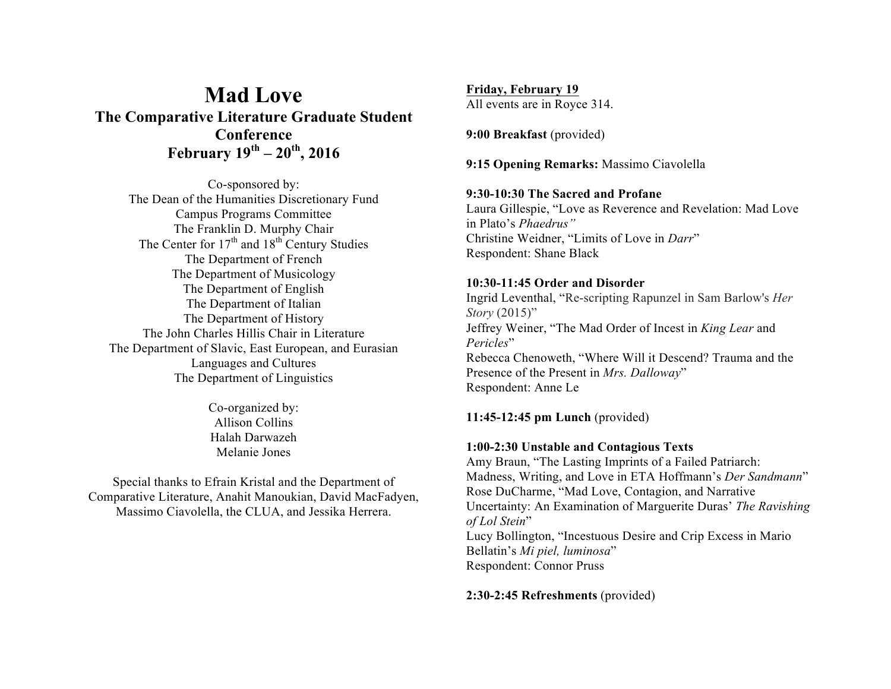# **Mad Love The Comparative Literature Graduate Student Conference February 19th – 20th, 2016**

Co-sponsored by: The Dean of the Humanities Discretionary Fund Campus Programs Committee The Franklin D. Murphy Chair The Center for  $17<sup>th</sup>$  and  $18<sup>th</sup>$  Century Studies The Department of French The Department of Musicology The Department of English The Department of Italian The Department of History The John Charles Hillis Chair in Literature The Department of Slavic, East European, and Eurasian Languages and Cultures The Department of Linguistics

> Co-organized by: Allison Collins Halah Darwazeh Melanie Jones

Special thanks to Efrain Kristal and the Department of Comparative Literature, Anahit Manoukian, David MacFadyen, Massimo Ciavolella, the CLUA, and Jessika Herrera.

**Friday, February 19** All events are in Royce 314.

**9:00 Breakfast** (provided)

**9:15 Opening Remarks:** Massimo Ciavolella

## **9:30-10:30 The Sacred and Profane**

Laura Gillespie, "Love as Reverence and Revelation: Mad Love in Plato's *Phaedrus"* Christine Weidner, "Limits of Love in *Darr*" Respondent: Shane Black

## **10:30-11:45 Order and Disorder**

Ingrid Leventhal, "Re-scripting Rapunzel in Sam Barlow's *Her Story* (2015)" Jeffrey Weiner, "The Mad Order of Incest in *King Lear* and *Pericles*" Rebecca Chenoweth, "Where Will it Descend? Trauma and the Presence of the Present in *Mrs. Dalloway*" Respondent: Anne Le

**11:45-12:45 pm Lunch** (provided)

## **1:00-2:30 Unstable and Contagious Texts**

Amy Braun, "The Lasting Imprints of a Failed Patriarch: Madness, Writing, and Love in ETA Hoffmann's *Der Sandmann*" Rose DuCharme, "Mad Love, Contagion, and Narrative Uncertainty: An Examination of Marguerite Duras' *The Ravishing of Lol Stein*" Lucy Bollington, "Incestuous Desire and Crip Excess in Mario Bellatin's *Mi piel, luminosa*" Respondent: Connor Pruss

**2:30-2:45 Refreshments** (provided)